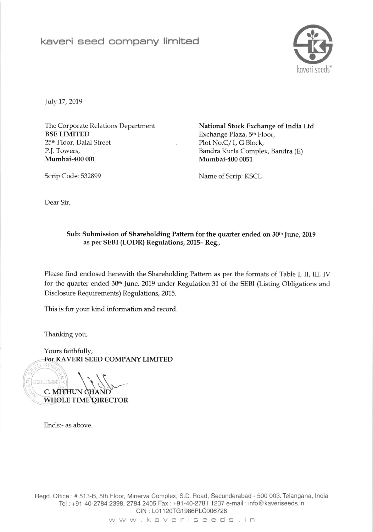

July 17, 2019

The Corporate Relations Department BSE LIMITED 25<sup>th</sup> Floor, Dalal Street P.J. Towers, Mumbai-4OO 001

National Stock Exchange of India Ltd Exchange Plaza, 5th Floor, Plot No.C/1, G Block, Bandra Kurla Complex, Bandra (E) Mumbai-4O0 0051

Scrip Code: 532899 Name of Scrip: KSCL

Dear Sir,

## Sub: Submission of Shareholding Pattern for the quarter ended on 30th June, 2019 as per SEBI (LODR) Regulations, 2015- Reg.,

Please find enclosed herewith the Shareholding Pattem as per the formats of Table I, II, III, IV for the quarter ended 30<sup>th</sup> June, 2019 under Regulation 31 of the SEBI (Listing Obligations and Disclosure Requirements) Regulations, 2015.

This is for your kind information and record

Thanking you,

Yours faithfully, SEED COMPANY LIMITE<mark>L</mark>

 $\sqrt{2}$ SECUNDERABAD WHOLE TIME QIRECTOR C. MITHUN

Encls:- as above.

Begd. Office :# 513-8, 5th Floor, Minerva Complex, S.D. Boad, Secunderabad - 500 003. Telangana, lndia Tel: +91-40-2784 2398, 2784 2405 Fax: +91-40-2781 1237 e-mail: info@kaveriseeds.in CIN: L01120TG1986PLC006728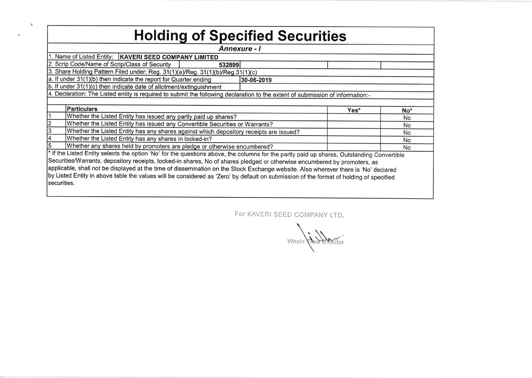| <b>Annexure - I</b><br>1. Name of Listed Entity:   KAVERI SEED COMPANY LIMITED<br>532899<br>3. Share Holding Pattern Filed under: Reg. 31(1)(a)/Reg. 31(1)(b)/Reg.31(1)(c)<br>30-06-2019<br>4. Declaration: The Listed entity is required to submit the following declaration to the extent of submission of information:-<br><b>Particulars</b><br>Yes*<br>No <sup>*</sup><br>Whether the Listed Entity has issued any partly paid up shares?<br><b>No</b><br>Whether the Listed Entity has issued any Convertible Securities or Warrants?<br>No<br>Whether the Listed Entity has any shares against which depository receipts are issued?<br>No<br>Whether the Listed Entity has any shares in locked-in?<br>No<br>Whether any shares held by promoters are pledge or otherwise encumbered?<br>No<br>* If the Listed Entity selects the option 'No' for the questions above, the columns for the partly paid up shares, Outstanding Convertible<br>Securities/Warrants, depository receipts, locked-in shares, No of shares pledged or otherwise encumbered by promoters, as<br>applicable, shall not be displayed at the time of dissemination on the Stock Exchange website. Also wherever there is 'No' declared<br>by Listed Entity in above table the values will be considered as 'Zero' by default on submission of the format of holding of specified | <b>Holding of Specified Securities</b>                              |  |  |  |  |  |  |  |  |  |  |
|-----------------------------------------------------------------------------------------------------------------------------------------------------------------------------------------------------------------------------------------------------------------------------------------------------------------------------------------------------------------------------------------------------------------------------------------------------------------------------------------------------------------------------------------------------------------------------------------------------------------------------------------------------------------------------------------------------------------------------------------------------------------------------------------------------------------------------------------------------------------------------------------------------------------------------------------------------------------------------------------------------------------------------------------------------------------------------------------------------------------------------------------------------------------------------------------------------------------------------------------------------------------------------------------------------------------------------------------------------------------|---------------------------------------------------------------------|--|--|--|--|--|--|--|--|--|--|
|                                                                                                                                                                                                                                                                                                                                                                                                                                                                                                                                                                                                                                                                                                                                                                                                                                                                                                                                                                                                                                                                                                                                                                                                                                                                                                                                                                 |                                                                     |  |  |  |  |  |  |  |  |  |  |
|                                                                                                                                                                                                                                                                                                                                                                                                                                                                                                                                                                                                                                                                                                                                                                                                                                                                                                                                                                                                                                                                                                                                                                                                                                                                                                                                                                 |                                                                     |  |  |  |  |  |  |  |  |  |  |
|                                                                                                                                                                                                                                                                                                                                                                                                                                                                                                                                                                                                                                                                                                                                                                                                                                                                                                                                                                                                                                                                                                                                                                                                                                                                                                                                                                 | 2. Scrip Code/Name of Scrip/Class of Security                       |  |  |  |  |  |  |  |  |  |  |
|                                                                                                                                                                                                                                                                                                                                                                                                                                                                                                                                                                                                                                                                                                                                                                                                                                                                                                                                                                                                                                                                                                                                                                                                                                                                                                                                                                 |                                                                     |  |  |  |  |  |  |  |  |  |  |
|                                                                                                                                                                                                                                                                                                                                                                                                                                                                                                                                                                                                                                                                                                                                                                                                                                                                                                                                                                                                                                                                                                                                                                                                                                                                                                                                                                 | a. If under 31(1)(b) then indicate the report for Quarter ending    |  |  |  |  |  |  |  |  |  |  |
|                                                                                                                                                                                                                                                                                                                                                                                                                                                                                                                                                                                                                                                                                                                                                                                                                                                                                                                                                                                                                                                                                                                                                                                                                                                                                                                                                                 | b. If under 31(1)(c) then indicate date of allotment/extinguishment |  |  |  |  |  |  |  |  |  |  |
|                                                                                                                                                                                                                                                                                                                                                                                                                                                                                                                                                                                                                                                                                                                                                                                                                                                                                                                                                                                                                                                                                                                                                                                                                                                                                                                                                                 |                                                                     |  |  |  |  |  |  |  |  |  |  |
|                                                                                                                                                                                                                                                                                                                                                                                                                                                                                                                                                                                                                                                                                                                                                                                                                                                                                                                                                                                                                                                                                                                                                                                                                                                                                                                                                                 |                                                                     |  |  |  |  |  |  |  |  |  |  |
|                                                                                                                                                                                                                                                                                                                                                                                                                                                                                                                                                                                                                                                                                                                                                                                                                                                                                                                                                                                                                                                                                                                                                                                                                                                                                                                                                                 |                                                                     |  |  |  |  |  |  |  |  |  |  |
|                                                                                                                                                                                                                                                                                                                                                                                                                                                                                                                                                                                                                                                                                                                                                                                                                                                                                                                                                                                                                                                                                                                                                                                                                                                                                                                                                                 |                                                                     |  |  |  |  |  |  |  |  |  |  |
|                                                                                                                                                                                                                                                                                                                                                                                                                                                                                                                                                                                                                                                                                                                                                                                                                                                                                                                                                                                                                                                                                                                                                                                                                                                                                                                                                                 |                                                                     |  |  |  |  |  |  |  |  |  |  |
|                                                                                                                                                                                                                                                                                                                                                                                                                                                                                                                                                                                                                                                                                                                                                                                                                                                                                                                                                                                                                                                                                                                                                                                                                                                                                                                                                                 |                                                                     |  |  |  |  |  |  |  |  |  |  |
|                                                                                                                                                                                                                                                                                                                                                                                                                                                                                                                                                                                                                                                                                                                                                                                                                                                                                                                                                                                                                                                                                                                                                                                                                                                                                                                                                                 |                                                                     |  |  |  |  |  |  |  |  |  |  |
|                                                                                                                                                                                                                                                                                                                                                                                                                                                                                                                                                                                                                                                                                                                                                                                                                                                                                                                                                                                                                                                                                                                                                                                                                                                                                                                                                                 |                                                                     |  |  |  |  |  |  |  |  |  |  |
|                                                                                                                                                                                                                                                                                                                                                                                                                                                                                                                                                                                                                                                                                                                                                                                                                                                                                                                                                                                                                                                                                                                                                                                                                                                                                                                                                                 |                                                                     |  |  |  |  |  |  |  |  |  |  |
|                                                                                                                                                                                                                                                                                                                                                                                                                                                                                                                                                                                                                                                                                                                                                                                                                                                                                                                                                                                                                                                                                                                                                                                                                                                                                                                                                                 |                                                                     |  |  |  |  |  |  |  |  |  |  |
|                                                                                                                                                                                                                                                                                                                                                                                                                                                                                                                                                                                                                                                                                                                                                                                                                                                                                                                                                                                                                                                                                                                                                                                                                                                                                                                                                                 |                                                                     |  |  |  |  |  |  |  |  |  |  |
|                                                                                                                                                                                                                                                                                                                                                                                                                                                                                                                                                                                                                                                                                                                                                                                                                                                                                                                                                                                                                                                                                                                                                                                                                                                                                                                                                                 |                                                                     |  |  |  |  |  |  |  |  |  |  |
|                                                                                                                                                                                                                                                                                                                                                                                                                                                                                                                                                                                                                                                                                                                                                                                                                                                                                                                                                                                                                                                                                                                                                                                                                                                                                                                                                                 | securities.                                                         |  |  |  |  |  |  |  |  |  |  |

 $\sim$   $\sim$ 

 $\left\langle \mathbf{f}\right\rangle$ 

For KAVERI SEED COMPANY LTD.

Whole Child Director